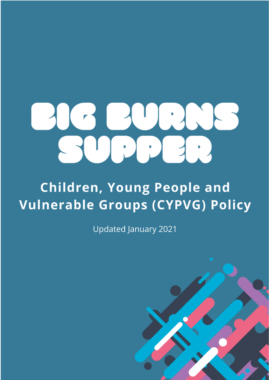

# **Children, Young People and Vulnerable Groups (CYPVG) Policy**

**Updated January 2021** 

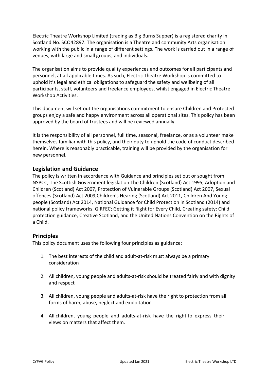Electric Theatre Workshop Limited (trading as Big Burns Supper) is a registered charity in Scotland No. SCO42897. The organisation is a Theatre and community Arts organisation working with the public in a range of different settings. The work is carried out in a range of venues, with large and small groups, and individuals.

The organisation aims to provide quality experiences and outcomes for all participants and personnel, at all applicable times. As such, Electric Theatre Workshop is committed to uphold it's legal and ethical obligations to safeguard the safety and wellbeing of all participants, staff, volunteers and freelance employees, whilst engaged in Electric Theatre Workshop Activities.

This document will set out the organisations commitment to ensure Children and Protected groups enjoy a safe and happy environment across all operational sites. This policy has been approved by the board of trustees and will be reviewed annually.

It is the responsibility of all personnel, full time, seasonal, freelance, or as a volunteer make themselves familiar with this policy, and their duty to uphold the code of conduct described herein. Where is reasonably practicable, training will be provided by the organisation for new personnel.

# **Legislation and Guidance**

The policy is written in accordance with Guidance and principles set out or sought from NSPCC, The Scottish Government legislation The Children (Scotland) Act 1995, Adoption and Children (Scotland) Act 2007, Protection of Vulnerable Groups (Scotland) Act 2007, Sexual offences (Scotland) Act 2009,Children's Hearing (Scotland) Act 2011, Children And Young people (Scotland) Act 2014, National Guidance for Child Protection in Scotland (2014) and national policy frameworks, GIRFEC; Getting it Right for Every Child, Creating safety: Child protection guidance, Creative Scotland, and the United Nations Convention on the Rights of a Child.

# **Principles**

This policy document uses the following four principles as guidance:

- 1. The best interests of the child and adult-at-risk must always be a primary consideration
- 2. All children, young people and adults-at-risk should be treated fairly and with dignity and respect
- 3. All children, young people and adults-at-risk have the right to protection from all forms of harm, abuse, neglect and exploitation
- 4. All children, young people and adults-at-risk have the right to express their views on matters that affect them.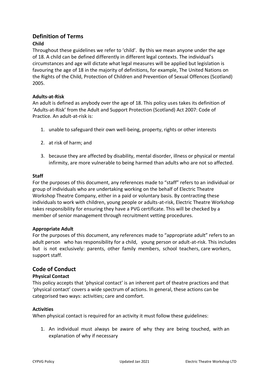# **Definition of Terms**

# **Child**

Throughout these guidelines we refer to 'child'. By this we mean anyone under the age of 18. A child can be defined differently in different legal contexts. The individual's circumstances and age will dictate what legal measures will be applied but legislation is favouring the age of 18 in the majority of definitions, for example, The United Nations on the Rights of the Child, Protection of Children and Prevention of Sexual Offences (Scotland) 2005.

### **Adults-at-Risk**

An adult is defined as anybody over the age of 18. This policy uses takes its definition of 'Adults-at-Risk' from the Adult and Support Protection (Scotland) Act 2007: Code of Practice. An adult-at-risk is:

- 1. unable to safeguard their own well-being, property, rights or other interests
- 2. at risk of harm; and
- 3. because they are affected by disability, mental disorder, illness or physical or mental infirmity, are more vulnerable to being harmed than adults who are not so affected.

#### **Staff**

For the purposes of this document, any references made to "staff" refers to an individual or group of individuals who are undertaking working on the behalf of Electric Theatre Workshop Theatre Company, either in a paid or voluntary basis. By contracting these individuals to work with children, young people or adults-at-risk, Electric Theatre Workshop takes responsibility for ensuring they have a PVG certificate. This will be checked by a member of senior management through recruitment vetting procedures.

#### **Appropriate Adult**

For the purposes of this document, any references made to "appropriate adult" refers to an adult person who has responsibility for a child, young person or adult-at-risk. This includes but is not exclusively: parents, other family members, school teachers, care workers, support staff.

# **Code of Conduct**

#### **Physical Contact**

This policy accepts that 'physical contact' is an inherent part of theatre practices and that 'physical contact' covers a wide spectrum of actions. In general, these actions can be categorised two ways: activities; care and comfort.

#### **Activities**

When physical contact is required for an activity it must follow these guidelines:

1. An individual must always be aware of why they are being touched, with an explanation of why if necessary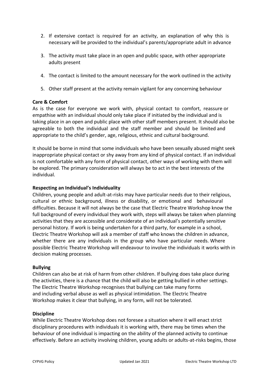- 2. If extensive contact is required for an activity, an explanation of why this is necessary will be provided to the individual's parents/appropriate adult in advance
- 3. The activity must take place in an open and public space, with other appropriate adults present
- 4. The contact is limited to the amount necessary for the work outlined in the activity
- 5. Other staff present at the activity remain vigilant for any concerning behaviour

#### **Care & Comfort**

As is the case for everyone we work with, physical contact to comfort, reassure or empathise with an individual should only take place if initiated by the individual and is taking place in an open and public place with other staff members present. It should also be agreeable to both the individual and the staff member and should be limited and appropriate to the child's gender, age, religious, ethnic and cultural background.

It should be borne in mind that some individuals who have been sexually abused might seek inappropriate physical contact or shy away from any kind of physical contact. If an individual is not comfortable with any form of physical contact, other ways of working with them will be explored. The primary consideration will always be to act in the best interests of the individual.

#### **Respecting an Individual's Individuality**

Children, young people and adult-at-risks may have particular needs due to their religious, cultural or ethnic background, illness or disability, or emotional and behavioural difficulties. Because it will not always be the case that Electric Theatre Workshop know the full background of every individual they work with, steps will always be taken when planning activities that they are accessible and considerate of an individual's potentially sensitive personal history. If work is being undertaken for a third party, for example in a school, Electric Theatre Workshop will ask a member of staff who knows the children in advance, whether there are any individuals in the group who have particular needs. Where possible Electric Theatre Workshop will endeavour to involve the individuals it works with in decision making processes.

#### **Bullying**

Children can also be at risk of harm from other children. If bullying does take place during the activities, there is a chance that the child will also be getting bullied in other settings. The Electric Theatre Workshop recognises that bullying can take many forms and including verbal abuse as well as physical intimidation. The Electric Theatre Workshop makes it clear that bullying, in any form, will not be tolerated.

#### **Discipline**

While Electric Theatre Workshop does not foresee a situation where it will enact strict disciplinary procedures with individuals it is working with, there may be times when the behaviour of one individual is impacting on the ability of the planned activity to continue effectively. Before an activity involving children, young adults or adults-at-risks begins, those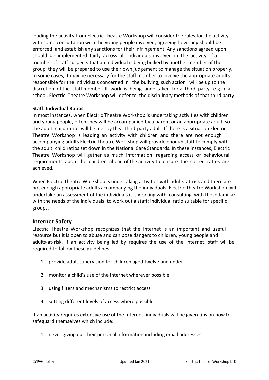leading the activity from Electric Theatre Workshop will consider the rules for the activity with some consultation with the young people involved; agreeing how they should be enforced, and establish any sanctions for their infringement. Any sanctions agreed upon should be implemented fairly across all individuals involved in the activity. If a member of staff suspects that an individual is being bullied by another member of the group, they will be prepared to use their own judgement to manage the situation properly. In some cases, it may be necessary for the staff member to involve the appropriate adults responsible for the individuals concerned in the bullying, such action will be up to the discretion of the staff member. If work is being undertaken for a third party, e.g. in a school, Electric Theatre Workshop will defer to the disciplinary methods of that third party.

### **Staff: Individual Ratios**

In most instances, when Electric Theatre Workshop is undertaking activities with children and young people, often they will be accompanied by a parent or an appropriate adult, so the adult: child ratio will be met by this third-party adult. If there is a situation Electric Theatre Workshop is leading an activity with children and there are not enough accompanying adults Electric Theatre Workshop will provide enough staff to comply with the adult: child ratios set down in the National Care Standards. In these instances, Electric Theatre Workshop will gather as much information, regarding access or behavioural requirements, about the children ahead of the activity to ensure the correct ratios are achieved.

When Electric Theatre Workshop is undertaking activities with adults-at-risk and there are not enough appropriate adults accompanying the individuals, Electric Theatre Workshop will undertake an assessment of the individuals it is working with, consulting with those familiar with the needs of the individuals, to work out a staff: individual ratio suitable for specific groups.

# **Internet Safety**

Electric Theatre Workshop recognizes that the Internet is an important and useful resource but it is open to abuse and can pose dangers to children, young people and adults-at-risk. If an activity being led by requires the use of the Internet, staff will be required to follow these guidelines:

- 1. provide adult supervision for children aged twelve and under
- 2. monitor a child's use of the internet wherever possible
- 3. using filters and mechanisms to restrict access
- 4. setting different levels of access where possible

If an activity requires extensive use of the Internet, individuals will be given tips on how to safeguard themselves which include:

1. never giving out their personal information including email addresses;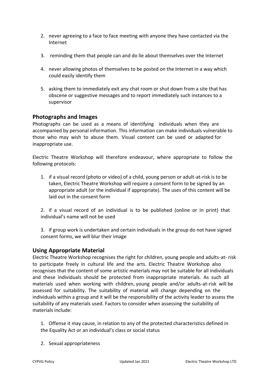- 2. never agreeing to a face to face meeting with anyone they have contacted via the Internet
- 3. reminding them that people can and do lie about themselves over the Internet
- 4. never allowing photos of themselves to be posted on the Internet in a way which could easily identify them
- 5. asking them to immediately exit any chat room or shut down from a site that has obscene or suggestive messages and to report immediately such instances to a supervisor

# **Photographs and Images**

Photographs can be used as a means of identifying individuals when they are accompanied by personal information. This information can make individuals vulnerable to those who may wish to abuse them. Visual content can be used or adapted for inappropriate use.

Electric Theatre Workshop will therefore endeavour, where appropriate to follow the following protocols:

1. if a visual record (photo or video) of a child, young person or adult-at-risk is to be taken, Electric Theatre Workshop will require a consent form to be signed by an appropriate adult (or the individual if appropriate). The uses of this content will be laid out in the consent form

2. if a visual record of an individual is to be published (online or in print) that individual's name will not be used

3. if group work is undertaken and certain individuals in the group do not have signed consent forms, we will blur their image

#### **Using Appropriate Material**

Electric Theatre Workshop recognises the right for children, young people and adults-at- risk to participate freely in cultural life and the arts. Electric Theatre Workshop also recognises that the content of some artistic materials may not be suitable for all individuals and these individuals should be protected from inappropriate materials. As such all materials used when working with children, young people and/or adults-at-risk will be assessed for suitability. The suitability of material will change depending on the individuals within a group and it will be the responsibility of the activity leader to assess the suitability of any materials used. Factors to consider when assessing the suitability of materials include:

1. Offense it may cause, in relation to any of the protected characteristics defined in the Equality Act or an individual's class or social status

2. Sexual appropriateness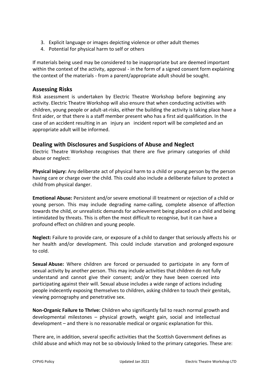- 3. Explicit language or images depicting violence or other adult themes
- 4. Potential for physical harm to self or others

If materials being used may be considered to be inappropriate but are deemed important within the context of the activity, approval - in the form of a signed consent form explaining the context of the materials - from a parent/appropriate adult should be sought.

# **Assessing Risks**

Risk assessment is undertaken by Electric Theatre Workshop before beginning any activity. Electric Theatre Workshop will also ensure that when conducting activities with children, young people or adult-at-risks, either the building the activity is taking place have a first aider, or that there is a staff member present who has a first aid qualification. In the case of an accident resulting in an injury an incident report will be completed and an appropriate adult will be informed.

# **Dealing with Disclosures and Suspicions of Abuse and Neglect**

Electric Theatre Workshop recognises that there are five primary categories of child abuse or neglect:

**Physical Injury:** Any deliberate act of physical harm to a child or young person by the person having care or charge over the child. This could also include a deliberate failure to protect a child from physical danger.

**Emotional Abuse:** Persistent and/or severe emotional ill treatment or rejection of a child or young person. This may include degrading name-calling, complete absence of affection towards the child, or unrealistic demands for achievement being placed on a child and being intimidated by threats. This is often the most difficult to recognise, but it can have a profound effect on children and young people.

**Neglect:** Failure to provide care, or exposure of a child to danger that seriously affects his or her health and/or development. This could include starvation and prolonged exposure to cold.

**Sexual Abuse:** Where children are forced or persuaded to participate in any form of sexual activity by another person. This may include activities that children do not fully understand and cannot give their consent; and/or they have been coerced into participating against their will. Sexual abuse includes a wide range of actions including people indecently exposing themselves to children, asking children to touch their genitals, viewing pornography and penetrative sex.

**Non-Organic Failure to Thrive:** Children who significantly fail to reach normal growth and developmental milestones – physical growth, weight gain, social and intellectual development – and there is no reasonable medical or organic explanation for this.

There are, in addition, several specific activities that the Scottish Government defines as child abuse and which may not be so obviously linked to the primary categories. These are: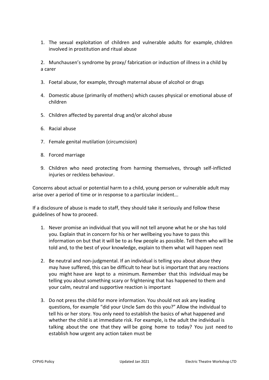1. The sexual exploitation of children and vulnerable adults for example, children involved in prostitution and ritual abuse

2. Munchausen's syndrome by proxy/ fabrication or induction of illness in a child by a carer

- 3. Foetal abuse, for example, through maternal abuse of alcohol or drugs
- 4. Domestic abuse (primarily of mothers) which causes physical or emotional abuse of children
- 5. Children affected by parental drug and/or alcohol abuse
- 6. Racial abuse
- 7. Female genital mutilation (circumcision)
- 8. Forced marriage
- 9. Children who need protecting from harming themselves, through self-inflicted injuries or reckless behaviour.

Concerns about actual or potential harm to a child, young person or vulnerable adult may arise over a period of time or in response to a particular incident...

If a disclosure of abuse is made to staff, they should take it seriously and follow these guidelines of how to proceed.

- 1. Never promise an individual that you will not tell anyone what he or she has told you. Explain that in concern for his or her wellbeing you have to pass this information on but that it will be to as few people as possible. Tell them who will be told and, to the best of your knowledge, explain to them what will happen next
- 2. Be neutral and non-judgmental. If an individual is telling you about abuse they may have suffered, this can be difficult to hear but is important that any reactions you might have are kept to a minimum. Remember that this individual may be telling you about something scary or frightening that has happened to them and your calm, neutral and supportive reaction is important
- 3. Do not press the child for more information. You should not ask any leading questions, for example "did your Uncle Sam do this you?" Allow the individual to tell his or her story. You only need to establish the basics of what happened and whether the child is at immediate risk. For example, is the adult the individual is talking about the one that they will be going home to today? You just need to establish how urgent any action taken must be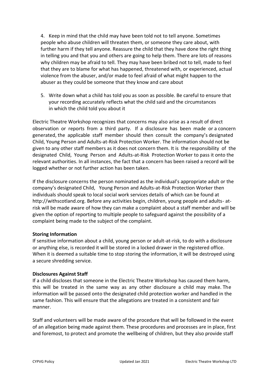4. Keep in mind that the child may have been told not to tell anyone. Sometimes people who abuse children will threaten them, or someone they care about, with further harm if they tell anyone. Reassure the child that they have done the right thing in telling you and that you and others are going to help them. There are lots of reasons why children may be afraid to tell. They may have been bribed not to tell, made to feel that they are to blame for what has happened, threatened with, or experienced, actual violence from the abuser, and/or made to feel afraid of what might happen to the abuser as they could be someone that they know and care about

5. Write down what a child has told you as soon as possible. Be careful to ensure that your recording accurately reflects what the child said and the circumstances in which the child told you about it

Electric Theatre Workshop recognizes that concerns may also arise as a result of direct observation or reports from a third party. If a disclosure has been made or a concern generated, the applicable staff member should then consult the company's designated Child, Young Person and Adults-at-Risk Protection Worker. The information should not be given to any other staff members as it does not concern them. It is the responsibility of the designated Child, Young Person and Adults-at-Risk Protection Worker to pass it onto the relevant authorities. In all instances, the fact that a concern has been raised a record will be logged whether or not further action has been taken.

If the disclosure concerns the person nominated as the individual's appropriate adult or the company's designated Child, Young Person and Adults-at-Risk Protection Worker then individuals should speak to local social work services details of which can be found at http://withscotland.org. Before any activities begin, children, young people and adults- atrisk will be made aware of how they can make a complaint about a staff member and will be given the option of reporting to multiple people to safeguard against the possibility of a complaint being made to the subject of the complaint.

#### **Storing Information**

If sensitive information about a child, young person or adult-at-risk, to do with a disclosure or anything else, is recorded it will be stored in a locked drawer in the registered office. When it is deemed a suitable time to stop storing the information, it will be destroyed using a secure shredding service.

#### **Disclosures Against Staff**

If a child discloses that someone in the Electric Theatre Workshop has caused them harm, this will be treated in the same way as any other disclosure a child may make. The information will be passed onto the designated child protection worker and handled in the same fashion. This will ensure that the allegations are treated in a consistent and fair manner.

Staff and volunteers will be made aware of the procedure that will be followed in the event of an allegation being made against them. These procedures and processes are in place, first and foremost, to protect and promote the wellbeing of children, but they also provide staff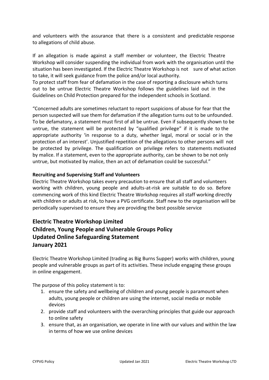and volunteers with the assurance that there is a consistent and predictable response to allegations of child abuse.

If an allegation is made against a staff member or volunteer, the Electric Theatre Workshop will consider suspending the individual from work with the organisation until the situation has been investigated. If the Electric Theatre Workshop is not sure of what action to take, it will seek guidance from the police and/or local authority.

To protect staff from fear of defamation in the case of reporting a disclosure which turns out to be untrue Electric Theatre Workshop follows the guidelines laid out in the Guidelines on Child Protection prepared for the independent schools in Scotland.

"Concerned adults are sometimes reluctant to report suspicions of abuse for fear that the person suspected will sue them for defamation if the allegation turns out to be unfounded. To be defamatory, a statement must first of all be untrue. Even if subsequently shown to be untrue, the statement will be protected by "qualified privilege" if it is made to the appropriate authority 'in response to a duty, whether legal, moral or social or in the protection of an interest'. Unjustified repetition of the allegations to other persons will not be protected by privilege. The qualification on privilege refers to statements motivated by malice. If a statement, even to the appropriate authority, can be shown to be not only untrue, but motivated by malice, then an act of defamation could be successful."

#### **Recruiting and Supervising Staff and Volunteers**

Electric Theatre Workshop takes every precaution to ensure that all staff and volunteers working with children, young people and adults-at-risk are suitable to do so. Before commencing work of this kind Electric Theatre Workshop requires all staff working directly with children or adults at risk, to have a PVG certificate. Staff new to the organisation will be periodically supervised to ensure they are providing the best possible service

# **Electric Theatre Workshop Limited Children, Young People and Vulnerable Groups Policy Updated Online Safeguarding Statement January 2021**

Electric Theatre Workshop Limited (trading as Big Burns Supper) works with children, young people and vulnerable groups as part of its activities. These include engaging these groups in online engagement.

The purpose of this policy statement is to:

- 1. ensure the safety and wellbeing of children and young people is paramount when adults, young people or children are using the internet, social media or mobile devices
- 2. provide staff and volunteers with the overarching principles that guide our approach to online safety
- 3. ensure that, as an organisation, we operate in line with our values and within the law in terms of how we use online devices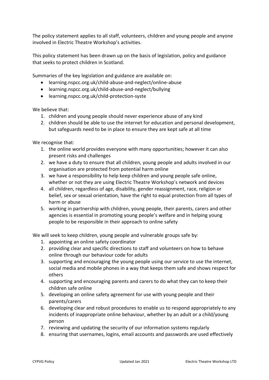The policy statement applies to all staff, volunteers, children and young people and anyone involved in Electric Theatre Workshop's activities.

This policy statement has been drawn up on the basis of legislation, policy and guidance that seeks to protect children in Scotland.

Summaries of the key legislation and guidance are available on:

- learning.nspcc.org.uk/child-abuse-and-neglect/online-abuse
- learning.nspcc.org.uk/child-abuse-and-neglect/bullying
- learning.nspcc.org.uk/child-protection-syste

We believe that:

- 1. children and young people should never experience abuse of any kind
- 2. children should be able to use the internet for education and personal development, but safeguards need to be in place to ensure they are kept safe at all time

We recognise that:

- 1. the online world provides everyone with many opportunities; however it can also present risks and challenges
- 2. we have a duty to ensure that all children, young people and adults involved in our organisation are protected from potential harm online
- 3. we have a responsibility to help keep children and young people safe online, whether or not they are using Electric Theatre Workshop's network and devices
- 4. all children, regardless of age, disability, gender reassignment, race, religion or belief, sex or sexual orientation, have the right to equal protection from all types of harm or abuse
- 5. working in partnership with children, young people, their parents, carers and other agencies is essential in promoting young people's welfare and in helping young people to be responsible in their approach to online safety

We will seek to keep children, young people and vulnerable groups safe by:

- 1. appointing an online safety coordinator
- 2. providing clear and specific directions to staff and volunteers on how to behave online through our behaviour code for adults
- 3. supporting and encouraging the young people using our service to use the internet, social media and mobile phones in a way that keeps them safe and shows respect for others
- 4. supporting and encouraging parents and carers to do what they can to keep their children safe online
- 5. developing an online safety agreement for use with young people and their parents/carers
- 6. developing clear and robust procedures to enable us to respond appropriately to any incidents of inappropriate online behaviour, whether by an adult or a child/young person
- 7. reviewing and updating the security of our information systems regularly
- 8. ensuring that usernames, logins, email accounts and passwords are used effectively